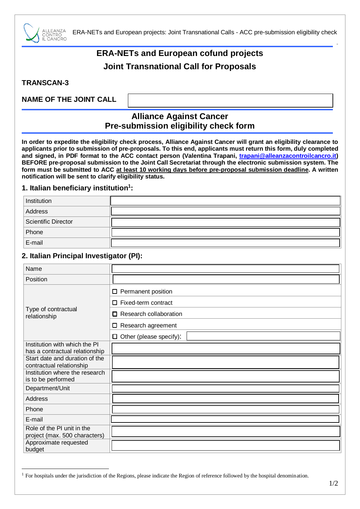

ERA-NETs and European projects: Joint Transnational Calls - ACC pre-submission eligibility check

# **ERA-NETs and European cofund projects Joint Transnational Call for Proposals**

**TRANSCAN-3**

1

# **NAME OF THE JOINT CALL**

# **Alliance Against Cancer Pre-submission eligibility check form**

**In order to expedite the eligibility check process, Alliance Against Cancer will grant an eligibility clearance to applicants prior to submission of pre-proposals. To this end, applicants must return this form, duly completed and signed, in PDF format to the ACC contact person (Valentina Trapani, [trapani@alleanzacontroilcancro.it\)](mailto:trapani@alleanzacontroilcancro.it) BEFORE pre-proposal submission to the Joint Call Secretariat through the electronic submission system. The form must be submitted to ACC at least 10 working days before pre-proposal submission deadline. A written notification will be sent to clarify eligibility status.**

#### **1. Italian beneficiary institution<sup>1</sup> :**

| Institution                |  |
|----------------------------|--|
| Address                    |  |
| <b>Scientific Director</b> |  |
| Phone                      |  |
| E-mail                     |  |

### **2. Italian Principal Investigator (PI):**

| Name                                                        |                                |
|-------------------------------------------------------------|--------------------------------|
| Position                                                    |                                |
| Type of contractual<br>relationship                         | □<br>Permanent position        |
|                                                             | Fixed-term contract<br>п       |
|                                                             | Research collaboration<br>п    |
|                                                             | Research agreement<br>0        |
|                                                             | $\Box$ Other (please specify): |
| Institution with which the PI                               |                                |
| has a contractual relationship                              |                                |
| Start date and duration of the<br>contractual relationship  |                                |
| Institution where the research<br>is to be performed        |                                |
| Department/Unit                                             |                                |
| Address                                                     |                                |
| Phone                                                       |                                |
| E-mail                                                      |                                |
| Role of the PI unit in the<br>project (max. 500 characters) |                                |
| Approximate requested<br>budget                             |                                |

"

<sup>&</sup>lt;sup>1</sup> For hospitals under the jurisdiction of the Regions, please indicate the Region of reference followed by the hospital denomination.